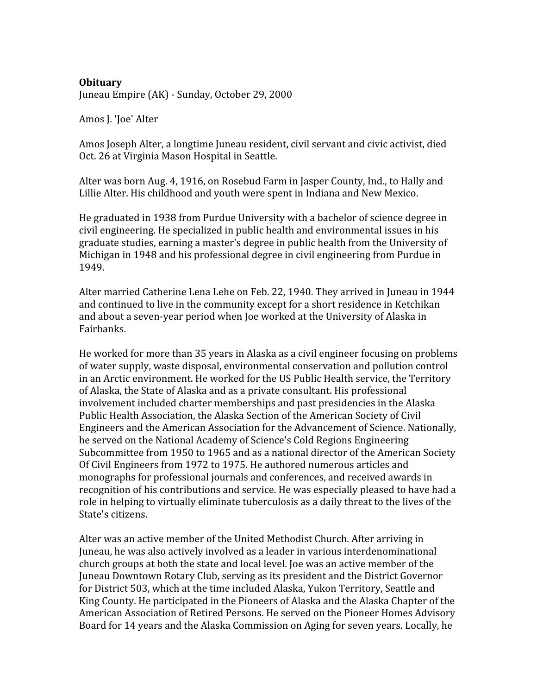## **Obituary**

Juneau
Empire
(AK)
‐
Sunday,
October
29,
2000

Amos
J.
'Joe'
Alter

Amos Joseph Alter, a longtime Juneau resident, civil servant and civic activist, died Oct.
26
at
Virginia
Mason
Hospital
in
Seattle.

Alter
was
born
Aug.
4,
1916,
on
Rosebud
Farm
in
Jasper
County,
Ind.,
to
Hally
and Lillie Alter. His childhood and youth were spent in Indiana and New Mexico.

He
graduated
in
1938
from
Purdue
University
with
a
bachelor
of
science
degree
in civil
engineering.
He
specialized
in
public
health
and
environmental
issues
in
his graduate
studies,
earning
a
master's
degree
in
public
health
from
the
University
of Michigan
in
1948
and
his
professional
degree
in
civil
engineering
from
Purdue
in 1949.

Alter
married
Catherine
Lena
Lehe
on
Feb.
22,
1940.
They
arrived
in
Juneau
in
1944 and continued to live in the community except for a short residence in Ketchikan and
about
a
seven‐year
period
when
Joe
worked
at
the
University
of
Alaska
in Fairbanks.

He worked for more than 35 years in Alaska as a civil engineer focusing on problems of
water
supply,
waste
disposal,
environmental
conservation
and
pollution
control in
an
Arctic
environment.
He
worked
for
the
US
Public
Health
service,
the
Territory of Alaska, the State of Alaska and as a private consultant. His professional involvement
included
charter
memberships
and
past
presidencies
in
the
Alaska Public Health Association, the Alaska Section of the American Society of Civil Engineers
and
the
American
Association
for
the
Advancement
of
Science.
Nationally, he
served
on
the
National
Academy
of
Science's
Cold
Regions
Engineering Subcommittee
from
1950
to
1965
and
as
a
national
director
of
the
American
Society Of
Civil
Engineers
from
1972
to
1975.
He
authored
numerous
articles
and monographs
for
professional
journals
and
conferences,
and
received
awards
in recognition of his contributions and service. He was especially pleased to have had a role in helping to virtually eliminate tuberculosis as a daily threat to the lives of the State's
citizens.

Alter
was
an
active
member
of
the
United
Methodist
Church.
After
arriving
in Juneau,
he
was
also
actively
involved
as
a
leader
in
various
interdenominational church
groups
at
both
the
state
and
local
level.
Joe
was
an
active
member
of
the Juneau
Downtown
Rotary
Club,
serving
as
its
president
and
the
District
Governor for District 503, which at the time included Alaska, Yukon Territory, Seattle and King County. He participated in the Pioneers of Alaska and the Alaska Chapter of the American
Association
of
Retired
Persons.
He
served
on
the
Pioneer
Homes
Advisory Board
for
14
years
and
the
Alaska
Commission
on
Aging
for
seven
years.
Locally,
he